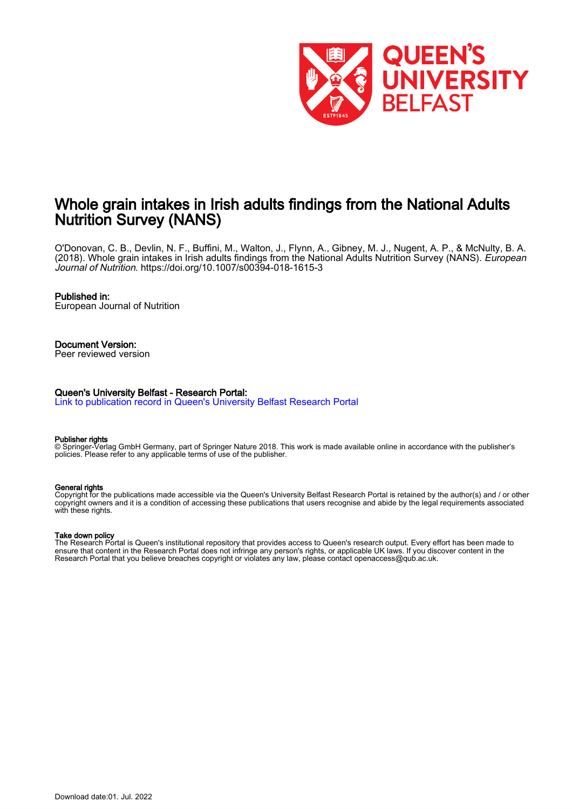

# Whole grain intakes in Irish adults findings from the National Adults Nutrition Survey (NANS)

O'Donovan, C. B., Devlin, N. F., Buffini, M., Walton, J., Flynn, A., Gibney, M. J., Nugent, A. P., & McNulty, B. A. (2018). Whole grain intakes in Irish adults findings from the National Adults Nutrition Survey (NANS). *European* Journal of Nutrition.<https://doi.org/10.1007/s00394-018-1615-3>

#### Published in:

European Journal of Nutrition

## Document Version:

Peer reviewed version

#### Queen's University Belfast - Research Portal:

[Link to publication record in Queen's University Belfast Research Portal](https://pure.qub.ac.uk/en/publications/49c0371c-a357-485a-bfea-4c08a0b574db)

#### Publisher rights

© Springer-Verlag GmbH Germany, part of Springer Nature 2018. This work is made available online in accordance with the publisher's policies. Please refer to any applicable terms of use of the publisher.

#### General rights

Copyright for the publications made accessible via the Queen's University Belfast Research Portal is retained by the author(s) and / or other copyright owners and it is a condition of accessing these publications that users recognise and abide by the legal requirements associated with these rights.

#### Take down policy

The Research Portal is Queen's institutional repository that provides access to Queen's research output. Every effort has been made to ensure that content in the Research Portal does not infringe any person's rights, or applicable UK laws. If you discover content in the Research Portal that you believe breaches copyright or violates any law, please contact openaccess@qub.ac.uk.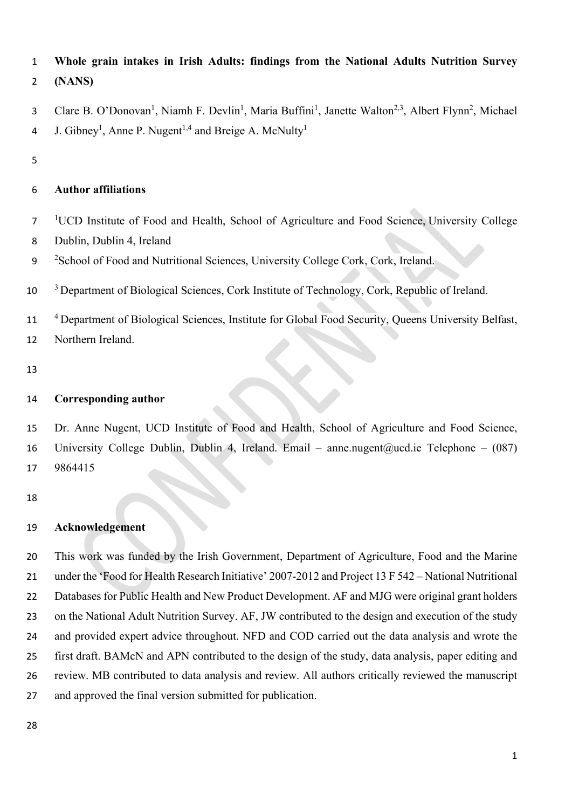- **Whole grain intakes in Irish Adults: findings from the National Adults Nutrition Survey**
- **(NANS)**
- 3 Clare B. O'Donovan<sup>1</sup>, Niamh F. Devlin<sup>1</sup>, Maria Buffini<sup>1</sup>, Janette Walton<sup>2,3</sup>, Albert Flynn<sup>2</sup>, Michael 4 J. Gibney<sup>1</sup>, Anne P. Nugent<sup>1,4</sup> and Breige A. McNulty<sup>1</sup>
- 

## **Author affiliations**

- <sup>1</sup>UCD Institute of Food and Health, School of Agriculture and Food Science, University College
- Dublin, Dublin 4, Ireland
- 9 <sup>2</sup> School of Food and Nutritional Sciences, University College Cork, Cork, Ireland.
- <sup>3</sup> Department of Biological Sciences, Cork Institute of Technology, Cork, Republic of Ireland.
- <sup>4</sup> Department of Biological Sciences, Institute for Global Food Security, Queens University Belfast,
- Northern Ireland.
- 

## **Corresponding author**

 Dr. Anne Nugent, UCD Institute of Food and Health, School of Agriculture and Food Science, 16 University College Dublin, Dublin 4, Ireland. Email – anne.nugent@ucd.ie Telephone – (087) 9864415

## **Acknowledgement**

 This work was funded by the Irish Government, Department of Agriculture, Food and the Marine under the 'Food for Health Research Initiative' 2007-2012 and Project 13 F 542 – National Nutritional 22 Databases for Public Health and New Product Development. AF and MJG were original grant holders on the National Adult Nutrition Survey. AF, JW contributed to the design and execution of the study and provided expert advice throughout. NFD and COD carried out the data analysis and wrote the first draft. BAMcN and APN contributed to the design of the study, data analysis, paper editing and review. MB contributed to data analysis and review. All authors critically reviewed the manuscript and approved the final version submitted for publication.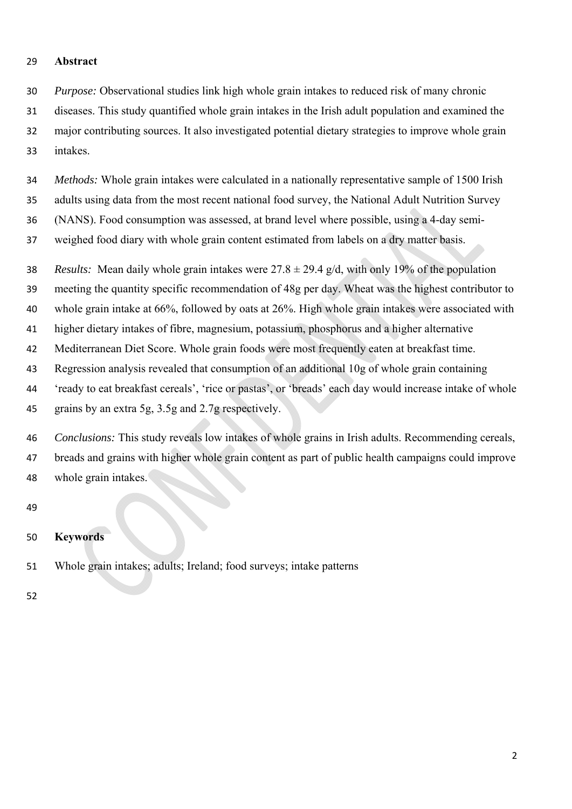#### **Abstract**

 *Purpose:* Observational studies link high whole grain intakes to reduced risk of many chronic diseases. This study quantified whole grain intakes in the Irish adult population and examined the major contributing sources. It also investigated potential dietary strategies to improve whole grain intakes.

 *Methods:* Whole grain intakes were calculated in a nationally representative sample of 1500 Irish adults using data from the most recent national food survey, the National Adult Nutrition Survey (NANS). Food consumption was assessed, at brand level where possible, using a 4-day semi-

weighed food diary with whole grain content estimated from labels on a dry matter basis.

38 *Results:* Mean daily whole grain intakes were  $27.8 \pm 29.4$  g/d, with only 19% of the population

meeting the quantity specific recommendation of 48g per day. Wheat was the highest contributor to

whole grain intake at 66%, followed by oats at 26%. High whole grain intakes were associated with

higher dietary intakes of fibre, magnesium, potassium, phosphorus and a higher alternative

Mediterranean Diet Score. Whole grain foods were most frequently eaten at breakfast time.

Regression analysis revealed that consumption of an additional 10g of whole grain containing

 'ready to eat breakfast cereals', 'rice or pastas', or 'breads' each day would increase intake of whole grains by an extra 5g, 3.5g and 2.7g respectively.

 *Conclusions:* This study reveals low intakes of whole grains in Irish adults. Recommending cereals, breads and grains with higher whole grain content as part of public health campaigns could improve whole grain intakes.

- **Keywords**
- Whole grain intakes; adults; Ireland; food surveys; intake patterns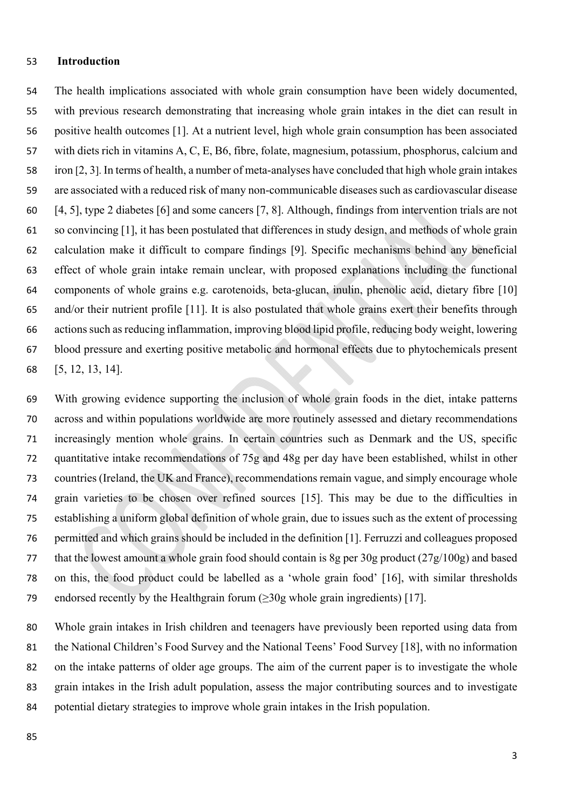### **Introduction**

 The health implications associated with whole grain consumption have been widely documented, with previous research demonstrating that increasing whole grain intakes in the diet can result in positive health outcomes [1]. At a nutrient level, high whole grain consumption has been associated with diets rich in vitamins A, C, E, B6, fibre, folate, magnesium, potassium, phosphorus, calcium and iron [2, 3]. In terms of health, a number of meta-analyses have concluded that high whole grain intakes are associated with a reduced risk of many non-communicable diseases such as cardiovascular disease [4, 5], type 2 diabetes [6] and some cancers [7, 8]. Although, findings from intervention trials are not so convincing [1], it has been postulated that differences in study design, and methods of whole grain calculation make it difficult to compare findings [9]. Specific mechanisms behind any beneficial effect of whole grain intake remain unclear, with proposed explanations including the functional components of whole grains e.g. carotenoids, beta-glucan, inulin, phenolic acid, dietary fibre [10] and/or their nutrient profile [11]. It is also postulated that whole grains exert their benefits through actions such as reducing inflammation, improving blood lipid profile, reducing body weight, lowering blood pressure and exerting positive metabolic and hormonal effects due to phytochemicals present [5, 12, 13, 14].

 With growing evidence supporting the inclusion of whole grain foods in the diet, intake patterns across and within populations worldwide are more routinely assessed and dietary recommendations increasingly mention whole grains. In certain countries such as Denmark and the US, specific quantitative intake recommendations of 75g and 48g per day have been established, whilst in other countries (Ireland, the UK and France), recommendations remain vague, and simply encourage whole grain varieties to be chosen over refined sources [15]. This may be due to the difficulties in establishing a uniform global definition of whole grain, due to issues such as the extent of processing permitted and which grains should be included in the definition [1]. Ferruzzi and colleagues proposed that the lowest amount a whole grain food should contain is 8g per 30g product (27g/100g) and based on this, the food product could be labelled as a 'whole grain food' [16], with similar thresholds 79 endorsed recently by the Healthgrain forum  $(\geq 30)$ g whole grain ingredients) [17].

 Whole grain intakes in Irish children and teenagers have previously been reported using data from the National Children's Food Survey and the National Teens' Food Survey [18], with no information on the intake patterns of older age groups. The aim of the current paper is to investigate the whole grain intakes in the Irish adult population, assess the major contributing sources and to investigate potential dietary strategies to improve whole grain intakes in the Irish population.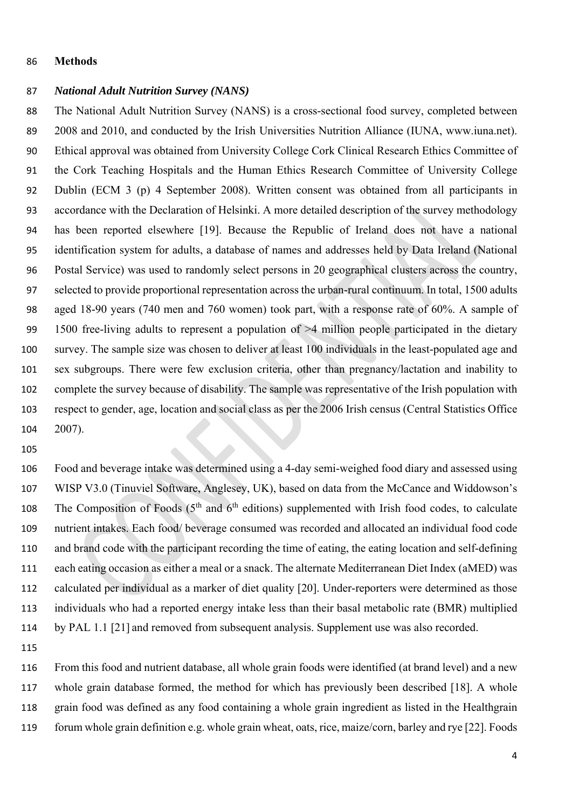### **Methods**

### *National Adult Nutrition Survey (NANS)*

 The National Adult Nutrition Survey (NANS) is a cross-sectional food survey, completed between 89 2008 and 2010, and conducted by the Irish Universities Nutrition Alliance (IUNA, www.iuna.net). Ethical approval was obtained from University College Cork Clinical Research Ethics Committee of the Cork Teaching Hospitals and the Human Ethics Research Committee of University College Dublin (ECM 3 (p) 4 September 2008). Written consent was obtained from all participants in accordance with the Declaration of Helsinki. A more detailed description of the survey methodology has been reported elsewhere [19]. Because the Republic of Ireland does not have a national identification system for adults, a database of names and addresses held by Data Ireland (National Postal Service) was used to randomly select persons in 20 geographical clusters across the country, selected to provide proportional representation across the urban-rural continuum. In total, 1500 adults aged 18-90 years (740 men and 760 women) took part, with a response rate of 60%. A sample of 1500 free-living adults to represent a population of >4 million people participated in the dietary survey. The sample size was chosen to deliver at least 100 individuals in the least-populated age and sex subgroups. There were few exclusion criteria, other than pregnancy/lactation and inability to complete the survey because of disability. The sample was representative of the Irish population with respect to gender, age, location and social class as per the 2006 Irish census (Central Statistics Office 2007).

 Food and beverage intake was determined using a 4-day semi-weighed food diary and assessed using WISP V3.0 (Tinuviel Software, Anglesey, UK), based on data from the McCance and Widdowson's 108 The Composition of Foods  $(5<sup>th</sup>$  and  $6<sup>th</sup>$  editions) supplemented with Irish food codes, to calculate nutrient intakes. Each food/ beverage consumed was recorded and allocated an individual food code and brand code with the participant recording the time of eating, the eating location and self-defining each eating occasion as either a meal or a snack. The alternate Mediterranean Diet Index (aMED) was calculated per individual as a marker of diet quality [20]. Under-reporters were determined as those individuals who had a reported energy intake less than their basal metabolic rate (BMR) multiplied by PAL 1.1 [21] and removed from subsequent analysis. Supplement use was also recorded.

 From this food and nutrient database, all whole grain foods were identified (at brand level) and a new whole grain database formed, the method for which has previously been described [18]. A whole grain food was defined as any food containing a whole grain ingredient as listed in the Healthgrain forum whole grain definition e.g. whole grain wheat, oats, rice, maize/corn, barley and rye [22]. Foods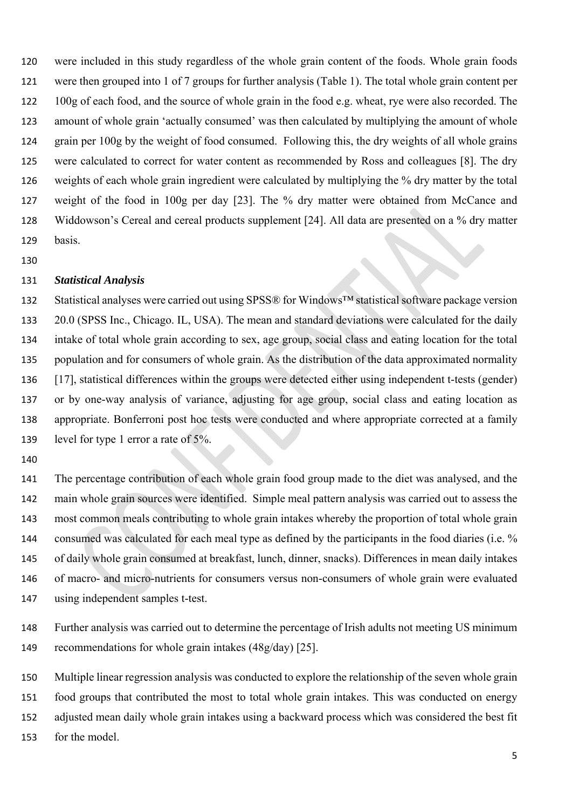were included in this study regardless of the whole grain content of the foods. Whole grain foods were then grouped into 1 of 7 groups for further analysis (Table 1). The total whole grain content per 100g of each food, and the source of whole grain in the food e.g. wheat, rye were also recorded. The amount of whole grain 'actually consumed' was then calculated by multiplying the amount of whole grain per 100g by the weight of food consumed. Following this, the dry weights of all whole grains were calculated to correct for water content as recommended by Ross and colleagues [8]. The dry weights of each whole grain ingredient were calculated by multiplying the % dry matter by the total weight of the food in 100g per day [23]. The % dry matter were obtained from McCance and Widdowson's Cereal and cereal products supplement [24]. All data are presented on a % dry matter basis.

### *Statistical Analysis*

 Statistical analyses were carried out using SPSS® for Windows™ statistical software package version 20.0 (SPSS Inc., Chicago. IL, USA). The mean and standard deviations were calculated for the daily intake of total whole grain according to sex, age group, social class and eating location for the total population and for consumers of whole grain. As the distribution of the data approximated normality [17], statistical differences within the groups were detected either using independent t-tests (gender) or by one-way analysis of variance, adjusting for age group, social class and eating location as appropriate. Bonferroni post hoc tests were conducted and where appropriate corrected at a family level for type 1 error a rate of 5%.

 The percentage contribution of each whole grain food group made to the diet was analysed, and the main whole grain sources were identified. Simple meal pattern analysis was carried out to assess the most common meals contributing to whole grain intakes whereby the proportion of total whole grain 144 consumed was calculated for each meal type as defined by the participants in the food diaries (i.e. % of daily whole grain consumed at breakfast, lunch, dinner, snacks). Differences in mean daily intakes of macro- and micro-nutrients for consumers versus non-consumers of whole grain were evaluated using independent samples t-test.

 Further analysis was carried out to determine the percentage of Irish adults not meeting US minimum recommendations for whole grain intakes (48g/day) [25].

 Multiple linear regression analysis was conducted to explore the relationship of the seven whole grain food groups that contributed the most to total whole grain intakes. This was conducted on energy adjusted mean daily whole grain intakes using a backward process which was considered the best fit for the model.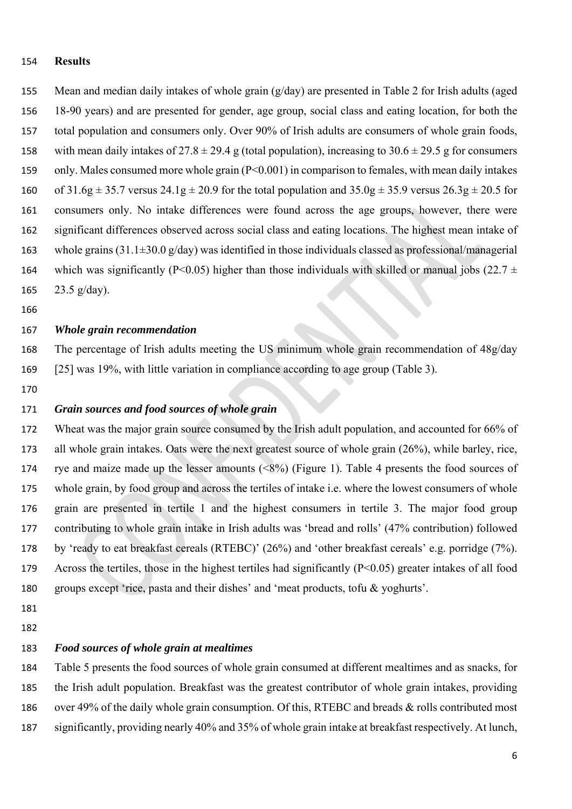#### **Results**

- Mean and median daily intakes of whole grain (g/day) are presented in Table 2 for Irish adults (aged 18-90 years) and are presented for gender, age group, social class and eating location, for both the total population and consumers only. Over 90% of Irish adults are consumers of whole grain foods, 158 with mean daily intakes of  $27.8 \pm 29.4$  g (total population), increasing to  $30.6 \pm 29.5$  g for consumers only. Males consumed more whole grain (P<0.001) in comparison to females, with mean daily intakes 160 of  $31.6g \pm 35.7$  versus  $24.1g \pm 20.9$  for the total population and  $35.0g \pm 35.9$  versus  $26.3g \pm 20.5$  for consumers only. No intake differences were found across the age groups, however, there were significant differences observed across social class and eating locations. The highest mean intake of 163 whole grains  $(31.1\pm30.0 \text{ g/day})$  was identified in those individuals classed as professional/managerial 164 which was significantly (P<0.05) higher than those individuals with skilled or manual jobs (22.7  $\pm$ 165  $23.5 \text{ g/day}$ ).
- 

## *Whole grain recommendation*

- The percentage of Irish adults meeting the US minimum whole grain recommendation of 48g/day [25] was 19%, with little variation in compliance according to age group (Table 3).
- 

### *Grain sources and food sources of whole grain*

 Wheat was the major grain source consumed by the Irish adult population, and accounted for 66% of all whole grain intakes. Oats were the next greatest source of whole grain (26%), while barley, rice, rye and maize made up the lesser amounts (<8%) (Figure 1). Table 4 presents the food sources of whole grain, by food group and across the tertiles of intake i.e. where the lowest consumers of whole grain are presented in tertile 1 and the highest consumers in tertile 3. The major food group contributing to whole grain intake in Irish adults was 'bread and rolls' (47% contribution) followed by 'ready to eat breakfast cereals (RTEBC)' (26%) and 'other breakfast cereals' e.g. porridge (7%). Across the tertiles, those in the highest tertiles had significantly (P<0.05) greater intakes of all food groups except 'rice, pasta and their dishes' and 'meat products, tofu & yoghurts'.

 

## *Food sources of whole grain at mealtimes*

 Table 5 presents the food sources of whole grain consumed at different mealtimes and as snacks, for the Irish adult population. Breakfast was the greatest contributor of whole grain intakes, providing over 49% of the daily whole grain consumption. Of this, RTEBC and breads & rolls contributed most significantly, providing nearly 40% and 35% of whole grain intake at breakfast respectively. At lunch,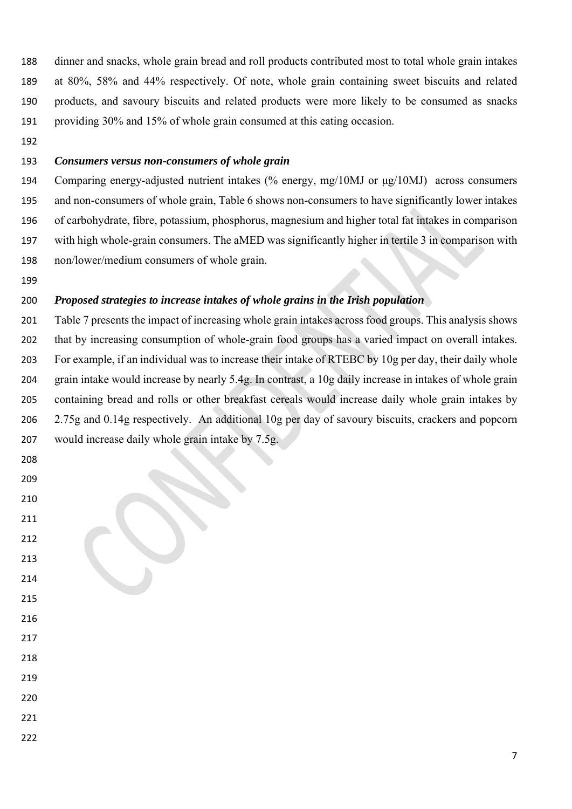dinner and snacks, whole grain bread and roll products contributed most to total whole grain intakes at 80%, 58% and 44% respectively. Of note, whole grain containing sweet biscuits and related products, and savoury biscuits and related products were more likely to be consumed as snacks providing 30% and 15% of whole grain consumed at this eating occasion.

## *Consumers versus non-consumers of whole grain*

 Comparing energy-adjusted nutrient intakes (% energy, mg/10MJ or μg/10MJ) across consumers and non-consumers of whole grain, Table 6 shows non-consumers to have significantly lower intakes of carbohydrate, fibre, potassium, phosphorus, magnesium and higher total fat intakes in comparison with high whole-grain consumers. The aMED was significantly higher in tertile 3 in comparison with non/lower/medium consumers of whole grain.

## *Proposed strategies to increase intakes of whole grains in the Irish population*

 Table 7 presents the impact of increasing whole grain intakes across food groups. This analysis shows that by increasing consumption of whole-grain food groups has a varied impact on overall intakes. For example, if an individual was to increase their intake of RTEBC by 10g per day, their daily whole grain intake would increase by nearly 5.4g. In contrast, a 10g daily increase in intakes of whole grain containing bread and rolls or other breakfast cereals would increase daily whole grain intakes by 2.75g and 0.14g respectively. An additional 10g per day of savoury biscuits, crackers and popcorn would increase daily whole grain intake by 7.5g.

- 
- 
- 
- 
- 
- 
- 
- 
- 
- 
- 
- 
- 
- 
-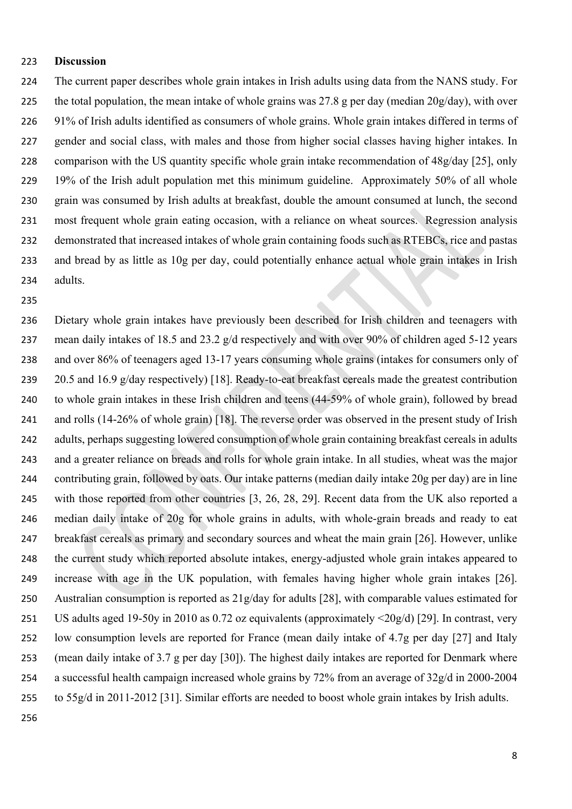### **Discussion**

 The current paper describes whole grain intakes in Irish adults using data from the NANS study. For the total population, the mean intake of whole grains was 27.8 g per day (median 20g/day), with over 91% of Irish adults identified as consumers of whole grains. Whole grain intakes differed in terms of gender and social class, with males and those from higher social classes having higher intakes. In comparison with the US quantity specific whole grain intake recommendation of 48g/day [25], only 19% of the Irish adult population met this minimum guideline. Approximately 50% of all whole grain was consumed by Irish adults at breakfast, double the amount consumed at lunch, the second most frequent whole grain eating occasion, with a reliance on wheat sources. Regression analysis demonstrated that increased intakes of whole grain containing foods such as RTEBCs, rice and pastas and bread by as little as 10g per day, could potentially enhance actual whole grain intakes in Irish adults.

 Dietary whole grain intakes have previously been described for Irish children and teenagers with mean daily intakes of 18.5 and 23.2 g/d respectively and with over 90% of children aged 5-12 years and over 86% of teenagers aged 13-17 years consuming whole grains (intakes for consumers only of 239 20.5 and 16.9 g/day respectively) [18]. Ready-to-eat breakfast cereals made the greatest contribution to whole grain intakes in these Irish children and teens (44-59% of whole grain), followed by bread 241 and rolls (14-26% of whole grain) [18]. The reverse order was observed in the present study of Irish adults, perhaps suggesting lowered consumption of whole grain containing breakfast cereals in adults and a greater reliance on breads and rolls for whole grain intake. In all studies, wheat was the major contributing grain, followed by oats. Our intake patterns (median daily intake 20g per day) are in line with those reported from other countries [3, 26, 28, 29]. Recent data from the UK also reported a median daily intake of 20g for whole grains in adults, with whole-grain breads and ready to eat breakfast cereals as primary and secondary sources and wheat the main grain [26]. However, unlike the current study which reported absolute intakes, energy-adjusted whole grain intakes appeared to increase with age in the UK population, with females having higher whole grain intakes [26]. Australian consumption is reported as 21g/day for adults [28], with comparable values estimated for US adults aged 19-50y in 2010 as 0.72 oz equivalents (approximately <20g/d) [29]. In contrast, very low consumption levels are reported for France (mean daily intake of 4.7g per day [27] and Italy (mean daily intake of 3.7 g per day [30]). The highest daily intakes are reported for Denmark where a successful health campaign increased whole grains by 72% from an average of 32g/d in 2000-2004 to 55g/d in 2011-2012 [31]. Similar efforts are needed to boost whole grain intakes by Irish adults.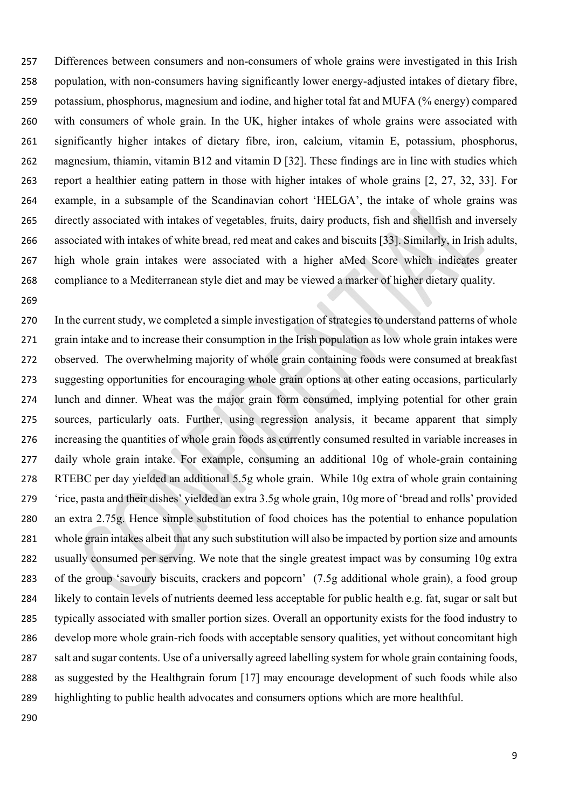Differences between consumers and non-consumers of whole grains were investigated in this Irish population, with non-consumers having significantly lower energy-adjusted intakes of dietary fibre, potassium, phosphorus, magnesium and iodine, and higher total fat and MUFA (% energy) compared with consumers of whole grain. In the UK, higher intakes of whole grains were associated with significantly higher intakes of dietary fibre, iron, calcium, vitamin E, potassium, phosphorus, magnesium, thiamin, vitamin B12 and vitamin D [32]. These findings are in line with studies which report a healthier eating pattern in those with higher intakes of whole grains [2, 27, 32, 33]. For example, in a subsample of the Scandinavian cohort 'HELGA', the intake of whole grains was directly associated with intakes of vegetables, fruits, dairy products, fish and shellfish and inversely associated with intakes of white bread, red meat and cakes and biscuits [33]. Similarly, in Irish adults, high whole grain intakes were associated with a higher aMed Score which indicates greater compliance to a Mediterranean style diet and may be viewed a marker of higher dietary quality.

 In the current study, we completed a simple investigation of strategies to understand patterns of whole grain intake and to increase their consumption in the Irish population as low whole grain intakes were observed. The overwhelming majority of whole grain containing foods were consumed at breakfast suggesting opportunities for encouraging whole grain options at other eating occasions, particularly lunch and dinner. Wheat was the major grain form consumed, implying potential for other grain sources, particularly oats. Further, using regression analysis, it became apparent that simply increasing the quantities of whole grain foods as currently consumed resulted in variable increases in daily whole grain intake. For example, consuming an additional 10g of whole-grain containing RTEBC per day yielded an additional 5.5g whole grain. While 10g extra of whole grain containing 'rice, pasta and their dishes' yielded an extra 3.5g whole grain, 10g more of 'bread and rolls' provided an extra 2.75g. Hence simple substitution of food choices has the potential to enhance population whole grain intakes albeit that any such substitution will also be impacted by portion size and amounts usually consumed per serving. We note that the single greatest impact was by consuming 10g extra of the group 'savoury biscuits, crackers and popcorn' (7.5g additional whole grain), a food group likely to contain levels of nutrients deemed less acceptable for public health e.g. fat, sugar or salt but typically associated with smaller portion sizes. Overall an opportunity exists for the food industry to develop more whole grain-rich foods with acceptable sensory qualities, yet without concomitant high salt and sugar contents. Use of a universally agreed labelling system for whole grain containing foods, as suggested by the Healthgrain forum [17] may encourage development of such foods while also highlighting to public health advocates and consumers options which are more healthful.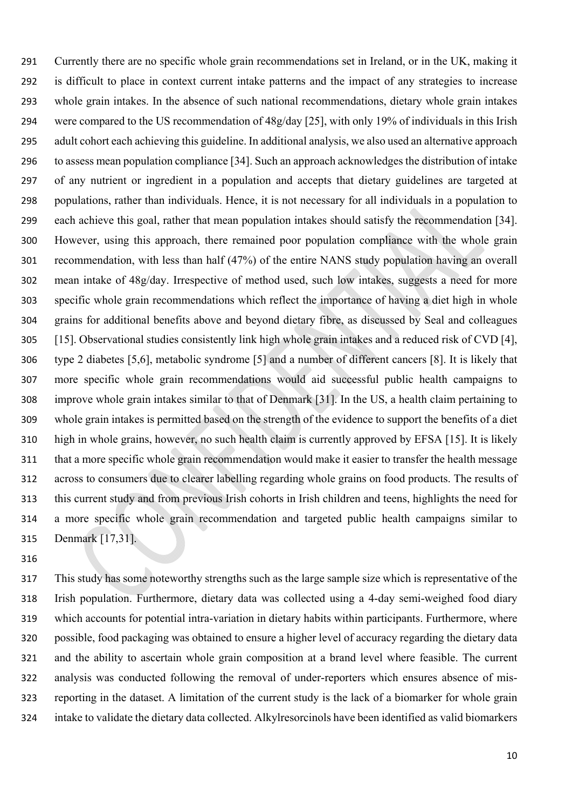Currently there are no specific whole grain recommendations set in Ireland, or in the UK, making it is difficult to place in context current intake patterns and the impact of any strategies to increase whole grain intakes. In the absence of such national recommendations, dietary whole grain intakes were compared to the US recommendation of 48g/day [25], with only 19% of individuals in this Irish adult cohort each achieving this guideline. In additional analysis, we also used an alternative approach to assess mean population compliance [34]. Such an approach acknowledges the distribution of intake of any nutrient or ingredient in a population and accepts that dietary guidelines are targeted at populations, rather than individuals. Hence, it is not necessary for all individuals in a population to each achieve this goal, rather that mean population intakes should satisfy the recommendation [34]. However, using this approach, there remained poor population compliance with the whole grain recommendation, with less than half (47%) of the entire NANS study population having an overall mean intake of 48g/day. Irrespective of method used, such low intakes, suggests a need for more specific whole grain recommendations which reflect the importance of having a diet high in whole grains for additional benefits above and beyond dietary fibre, as discussed by Seal and colleagues [15]. Observational studies consistently link high whole grain intakes and a reduced risk of CVD [4], type 2 diabetes [5,6], metabolic syndrome [5] and a number of different cancers [8]. It is likely that more specific whole grain recommendations would aid successful public health campaigns to improve whole grain intakes similar to that of Denmark [31]. In the US, a health claim pertaining to whole grain intakes is permitted based on the strength of the evidence to support the benefits of a diet high in whole grains, however, no such health claim is currently approved by EFSA [15]. It is likely that a more specific whole grain recommendation would make it easier to transfer the health message across to consumers due to clearer labelling regarding whole grains on food products. The results of this current study and from previous Irish cohorts in Irish children and teens, highlights the need for a more specific whole grain recommendation and targeted public health campaigns similar to Denmark [17,31].

 This study has some noteworthy strengths such as the large sample size which is representative of the Irish population. Furthermore, dietary data was collected using a 4-day semi-weighed food diary which accounts for potential intra-variation in dietary habits within participants. Furthermore, where possible, food packaging was obtained to ensure a higher level of accuracy regarding the dietary data and the ability to ascertain whole grain composition at a brand level where feasible. The current analysis was conducted following the removal of under-reporters which ensures absence of mis- reporting in the dataset. A limitation of the current study is the lack of a biomarker for whole grain intake to validate the dietary data collected. Alkylresorcinols have been identified as valid biomarkers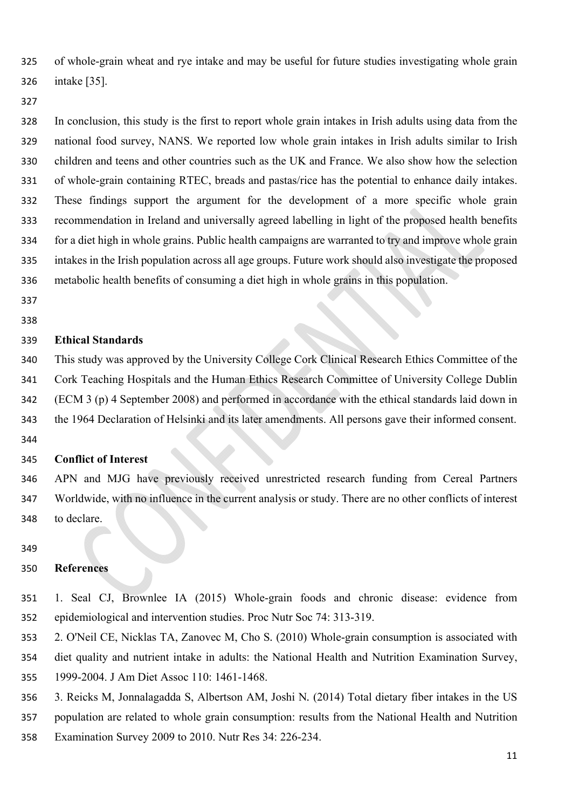of whole-grain wheat and rye intake and may be useful for future studies investigating whole grain intake [35].

#### 

 In conclusion, this study is the first to report whole grain intakes in Irish adults using data from the national food survey, NANS. We reported low whole grain intakes in Irish adults similar to Irish children and teens and other countries such as the UK and France. We also show how the selection of whole-grain containing RTEC, breads and pastas/rice has the potential to enhance daily intakes. These findings support the argument for the development of a more specific whole grain recommendation in Ireland and universally agreed labelling in light of the proposed health benefits for a diet high in whole grains. Public health campaigns are warranted to try and improve whole grain intakes in the Irish population across all age groups. Future work should also investigate the proposed metabolic health benefits of consuming a diet high in whole grains in this population.

#### **Ethical Standards**

 This study was approved by the University College Cork Clinical Research Ethics Committee of the Cork Teaching Hospitals and the Human Ethics Research Committee of University College Dublin (ECM 3 (p) 4 September 2008) and performed in accordance with the ethical standards laid down in the 1964 Declaration of Helsinki and its later amendments. All persons gave their informed consent. 

### **Conflict of Interest**

 APN and MJG have previously received unrestricted research funding from Cereal Partners Worldwide, with no influence in the current analysis or study. There are no other conflicts of interest to declare.

### **References**

- 1. Seal CJ, Brownlee IA (2015) Whole-grain foods and chronic disease: evidence from epidemiological and intervention studies. Proc Nutr Soc 74: 313-319.
- 2. O'Neil CE, Nicklas TA, Zanovec M, Cho S*.* (2010) Whole-grain consumption is associated with
- diet quality and nutrient intake in adults: the National Health and Nutrition Examination Survey, 1999-2004. J Am Diet Assoc 110: 1461-1468.
- 3. Reicks M, Jonnalagadda S, Albertson AM, Joshi N*.* (2014) Total dietary fiber intakes in the US
- population are related to whole grain consumption: results from the National Health and Nutrition
- Examination Survey 2009 to 2010. Nutr Res 34: 226-234.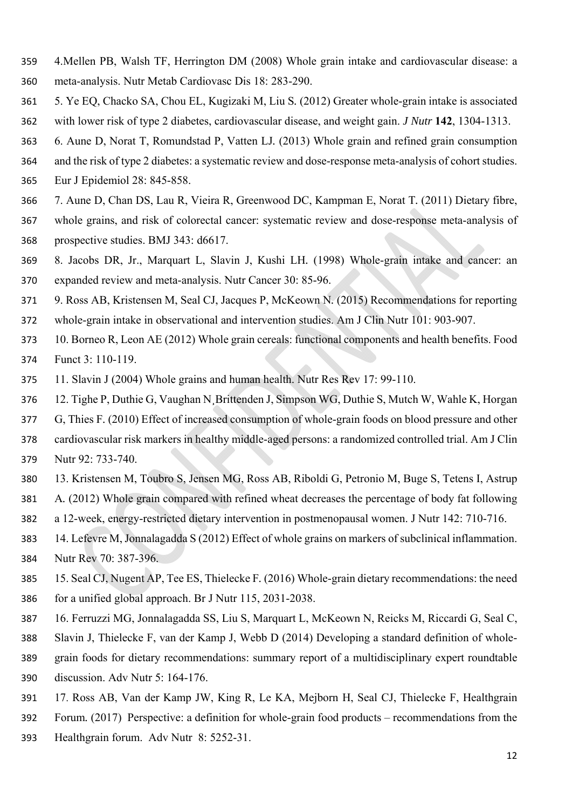- 4.Mellen PB, Walsh TF, Herrington DM (2008) Whole grain intake and cardiovascular disease: a meta-analysis. Nutr Metab Cardiovasc Dis 18: 283-290.
- 5. Ye EQ, Chacko SA, Chou EL, Kugizaki M, Liu S*.* (2012) Greater whole-grain intake is associated with lower risk of type 2 diabetes, cardiovascular disease, and weight gain. *J Nutr* **142**, 1304-1313.
- 6. Aune D, Norat T, Romundstad P, Vatten LJ*.* (2013) Whole grain and refined grain consumption
- and the risk of type 2 diabetes: a systematic review and dose-response meta-analysis of cohort studies.
- Eur J Epidemiol 28: 845-858.
- 7. Aune D, Chan DS, Lau R, Vieira R, Greenwood DC, Kampman E, Norat T*.* (2011) Dietary fibre,
- whole grains, and risk of colorectal cancer: systematic review and dose-response meta-analysis of prospective studies. BMJ 343: d6617.
- 8. Jacobs DR, Jr., Marquart L, Slavin J, Kushi LH*.* (1998) Whole-grain intake and cancer: an expanded review and meta-analysis. Nutr Cancer 30: 85-96.
- 9. Ross AB, Kristensen M, Seal CJ, Jacques P, McKeown N*.* (2015) Recommendations for reporting
- whole-grain intake in observational and intervention studies. Am J Clin Nutr 101: 903-907.
- 10. Borneo R, Leon AE (2012) Whole grain cereals: functional components and health benefits. Food Funct 3: 110-119.
- 11. Slavin J (2004) Whole grains and human health. Nutr Res Rev 17: 99-110.
- 12. Tighe P, Duthie G, Vaughan N¸Brittenden J, Simpson WG, Duthie S, Mutch W, Wahle K, Horgan
- G, Thies F*.* (2010) Effect of increased consumption of whole-grain foods on blood pressure and other
- cardiovascular risk markers in healthy middle-aged persons: a randomized controlled trial. Am J Clin Nutr 92: 733-740.
- 13. Kristensen M, Toubro S, Jensen MG, Ross AB, Riboldi G, Petronio M, Buge S, Tetens I, Astrup
- A*.* (2012) Whole grain compared with refined wheat decreases the percentage of body fat following
- a 12-week, energy-restricted dietary intervention in postmenopausal women. J Nutr 142: 710-716.
- 14. Lefevre M, Jonnalagadda S (2012) Effect of whole grains on markers of subclinical inflammation. Nutr Rev 70: 387-396.
- 15. Seal CJ, Nugent AP, Tee ES, Thielecke F*.* (2016) Whole-grain dietary recommendations: the need for a unified global approach. Br J Nutr 115, 2031-2038.
- 16. Ferruzzi MG, Jonnalagadda SS, Liu S, Marquart L, McKeown N, Reicks M, Riccardi G, Seal C,
- Slavin J, Thielecke F, van der Kamp J, Webb D (2014) Developing a standard definition of whole-
- grain foods for dietary recommendations: summary report of a multidisciplinary expert roundtable discussion. Adv Nutr 5: 164-176.
- 17. Ross AB, Van der Kamp JW, King R, Le KA, Mejborn H, Seal CJ, Thielecke F, Healthgrain
- Forum*.* (2017) Perspective: a definition for whole-grain food products recommendations from the
- Healthgrain forum. Adv Nutr 8: 5252-31.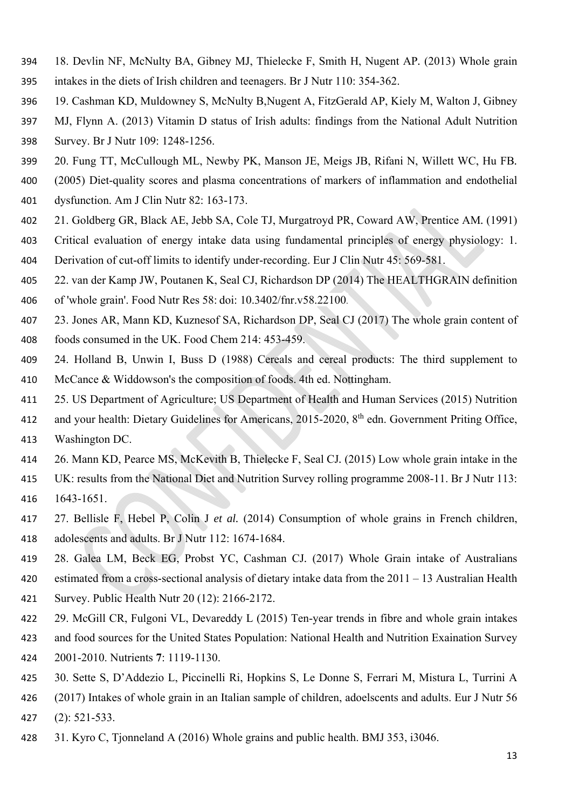- 18. Devlin NF, McNulty BA, Gibney MJ, Thielecke F, Smith H, Nugent AP*.* (2013) Whole grain
- intakes in the diets of Irish children and teenagers. Br J Nutr 110: 354-362.
- 19. Cashman KD, Muldowney S, McNulty B,Nugent A, FitzGerald AP, Kiely M, Walton J, Gibney
- MJ, Flynn A. (2013) Vitamin D status of Irish adults: findings from the National Adult Nutrition
- Survey. Br J Nutr 109: 1248-1256.
- 20. Fung TT, McCullough ML, Newby PK, Manson JE, Meigs JB, Rifani N, Willett WC, Hu FB*.*
- (2005) Diet-quality scores and plasma concentrations of markers of inflammation and endothelial
- dysfunction. Am J Clin Nutr 82: 163-173.
- 21. Goldberg GR, Black AE, Jebb SA, Cole TJ, Murgatroyd PR, Coward AW, Prentice AM*.* (1991)
- Critical evaluation of energy intake data using fundamental principles of energy physiology: 1.
- Derivation of cut-off limits to identify under-recording. Eur J Clin Nutr 45: 569-581.
- 22. van der Kamp JW, Poutanen K, Seal CJ, Richardson DP (2014) The HEALTHGRAIN definition
- of 'whole grain'. Food Nutr Res 58: doi: 10.3402/fnr.v58.22100.
- 23. Jones AR, Mann KD, Kuznesof SA, Richardson DP, Seal CJ (2017) The whole grain content of foods consumed in the UK. Food Chem 214: 453-459.
- 24. Holland B, Unwin I, Buss D (1988) Cereals and cereal products: The third supplement to McCance & Widdowson's the composition of foods. 4th ed. Nottingham.
- 25. US Department of Agriculture; US Department of Health and Human Services (2015) Nutrition
- 412 and your health: Dietary Guidelines for Americans, 2015-2020, 8<sup>th</sup> edn. Government Priting Office, Washington DC.
- 26. Mann KD, Pearce MS, McKevith B, Thielecke F, Seal CJ*.* (2015) Low whole grain intake in the
- UK: results from the National Diet and Nutrition Survey rolling programme 2008-11. Br J Nutr 113: 1643-1651.
- 27. Bellisle F, Hebel P, Colin J *et al.* (2014) Consumption of whole grains in French children,
- adolescents and adults. Br J Nutr 112: 1674-1684.
- 28. Galea LM, Beck EG, Probst YC, Cashman CJ*.* (2017) Whole Grain intake of Australians
- estimated from a cross-sectional analysis of dietary intake data from the 2011 13 Australian Health
- Survey. Public Health Nutr 20 (12): 2166-2172.
- 29. McGill CR, Fulgoni VL, Devareddy L (2015) Ten-year trends in fibre and whole grain intakes
- and food sources for the United States Population: National Health and Nutrition Exaination Survey
- 2001-2010. Nutrients **7**: 1119-1130.
- 30. Sette S, D'Addezio L, Piccinelli Ri, Hopkins S, Le Donne S, Ferrari M, Mistura L, Turrini A
- (2017) Intakes of whole grain in an Italian sample of children, adoelscents and adults. Eur J Nutr 56
- (2): 521-533.
- 31. Kyro C, Tjonneland A (2016) Whole grains and public health. BMJ 353, i3046.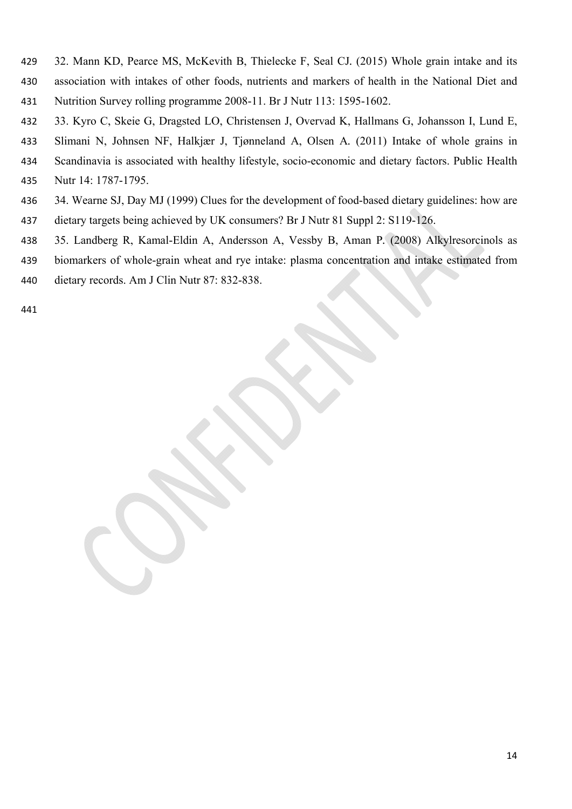- 32. Mann KD, Pearce MS, McKevith B, Thielecke F, Seal CJ*.* (2015) Whole grain intake and its
- association with intakes of other foods, nutrients and markers of health in the National Diet and Nutrition Survey rolling programme 2008-11. Br J Nutr 113: 1595-1602.
- 33. Kyro C, Skeie G, Dragsted LO, Christensen J, Overvad K, Hallmans G, Johansson I, Lund E,
- Slimani N, Johnsen NF, Halkjær J, Tjønneland A, Olsen A*.* (2011) Intake of whole grains in
- Scandinavia is associated with healthy lifestyle, socio-economic and dietary factors. Public Health
- Nutr 14: 1787-1795.
- 34. Wearne SJ, Day MJ (1999) Clues for the development of food-based dietary guidelines: how are
- dietary targets being achieved by UK consumers? Br J Nutr 81 Suppl 2: S119-126.
- 35. Landberg R, Kamal-Eldin A, Andersson A, Vessby B, Aman P*.* (2008) Alkylresorcinols as
- biomarkers of whole-grain wheat and rye intake: plasma concentration and intake estimated from dietary records. Am J Clin Nutr 87: 832-838.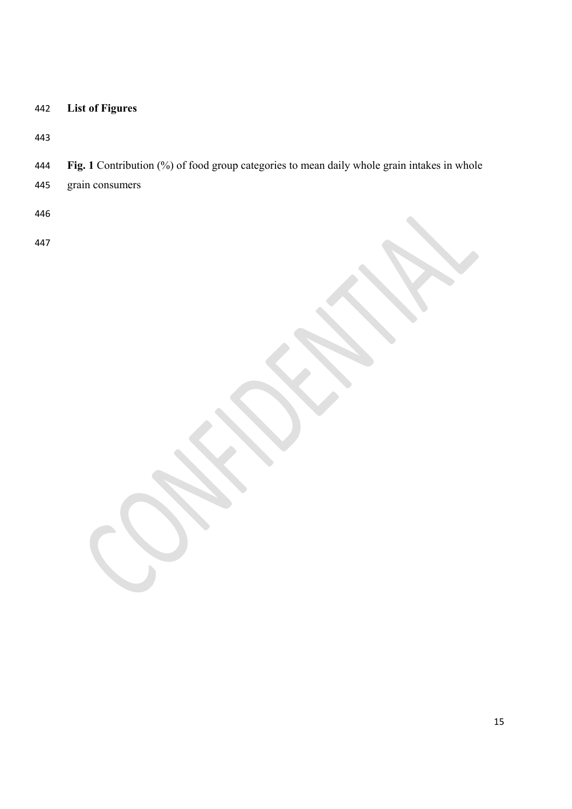# **List of Figures**

**Fig. 1** Contribution (%) of food group categories to mean daily whole grain intakes in whole

grain consumers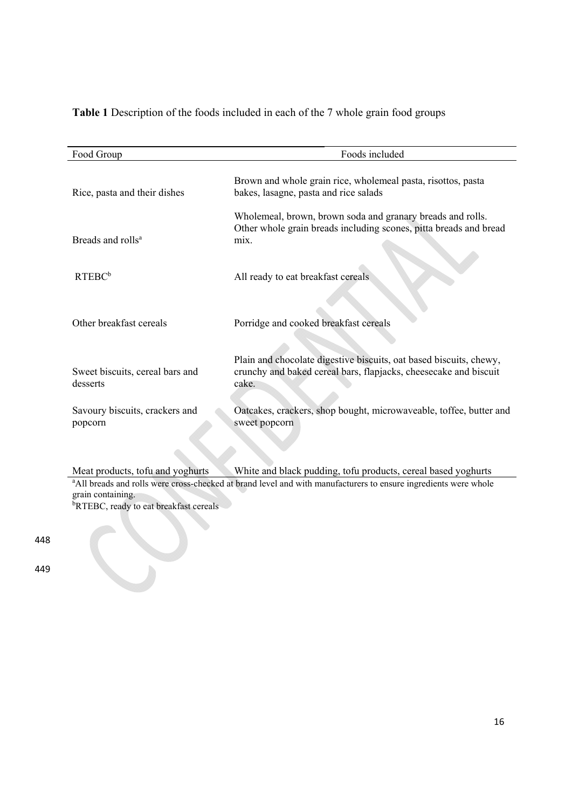**Table 1** Description of the foods included in each of the 7 whole grain food groups

| Food Group                                  | Foods included                                                                                                                                  |  |  |  |  |  |  |  |
|---------------------------------------------|-------------------------------------------------------------------------------------------------------------------------------------------------|--|--|--|--|--|--|--|
| Rice, pasta and their dishes                | Brown and whole grain rice, wholemeal pasta, risottos, pasta<br>bakes, lasagne, pasta and rice salads                                           |  |  |  |  |  |  |  |
| Breads and rolls <sup>a</sup>               | Wholemeal, brown, brown soda and granary breads and rolls.<br>Other whole grain breads including scones, pitta breads and bread<br>mix.         |  |  |  |  |  |  |  |
| RTEBC <sup>b</sup>                          | All ready to eat breakfast cereals                                                                                                              |  |  |  |  |  |  |  |
| Other breakfast cereals                     | Porridge and cooked breakfast cereals                                                                                                           |  |  |  |  |  |  |  |
| Sweet biscuits, cereal bars and<br>desserts | Plain and chocolate digestive biscuits, oat based biscuits, chewy,<br>crunchy and baked cereal bars, flapjacks, cheesecake and biscuit<br>cake. |  |  |  |  |  |  |  |
| Savoury biscuits, crackers and<br>popcorn   | Oatcakes, crackers, shop bought, microwaveable, toffee, butter and<br>sweet popcorn                                                             |  |  |  |  |  |  |  |

Meat products, tofu and yoghurts White and black pudding, tofu products, cereal based yoghurts <br>
Mall breads and rolls were cross-checked at brand level and with manufacturers to ensure ingredients were whole grain containing.<br><sup>b</sup>RTEBC, ready to eat breakfast cereals

448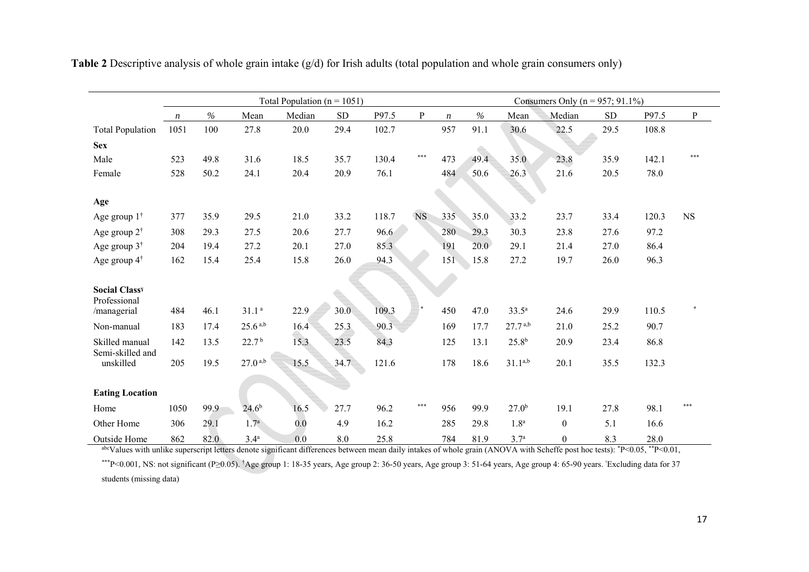|                             | Total Population ( $n = 1051$ ) |      |                       |        |      |       |           |                  |      | Consumers Only ( $n = 957$ ; 91.1%) |                  |            |       |              |  |  |
|-----------------------------|---------------------------------|------|-----------------------|--------|------|-------|-----------|------------------|------|-------------------------------------|------------------|------------|-------|--------------|--|--|
|                             | $\boldsymbol{n}$                | $\%$ | Mean                  | Median | SD   | P97.5 | ${\bf P}$ | $\boldsymbol{n}$ | $\%$ | Mean                                | Median           | ${\rm SD}$ | P97.5 | $\, {\bf p}$ |  |  |
| <b>Total Population</b>     | 1051                            | 100  | 27.8                  | 20.0   | 29.4 | 102.7 |           | 957              | 91.1 | 30.6                                | 22.5             | 29.5       | 108.8 |              |  |  |
| <b>Sex</b>                  |                                 |      |                       |        |      |       |           |                  |      |                                     |                  |            |       |              |  |  |
| Male                        | 523                             | 49.8 | 31.6                  | 18.5   | 35.7 | 130.4 | ***       | 473              | 49.4 | 35.0                                | 23.8             | 35.9       | 142.1 | ***          |  |  |
| Female                      | 528                             | 50.2 | 24.1                  | 20.4   | 20.9 | 76.1  |           | 484              | 50.6 | 26.3                                | 21.6             | 20.5       | 78.0  |              |  |  |
|                             |                                 |      |                       |        |      |       |           |                  |      |                                     |                  |            |       |              |  |  |
| Age                         |                                 |      |                       |        |      |       |           |                  |      |                                     |                  |            |       |              |  |  |
| Age group $1^{\dagger}$     | 377                             | 35.9 | 29.5                  | 21.0   | 33.2 | 118.7 | <b>NS</b> | 335              | 35.0 | 33.2                                | 23.7             | 33.4       | 120.3 | <b>NS</b>    |  |  |
| Age group $2^{\dagger}$     | 308                             | 29.3 | 27.5                  | 20.6   | 27.7 | 96.6  |           | 280              | 29.3 | 30.3                                | 23.8             | 27.6       | 97.2  |              |  |  |
| Age group $3^{\dagger}$     | 204                             | 19.4 | 27.2                  | 20.1   | 27.0 | 85.3  |           | 191              | 20.0 | 29.1                                | 21.4             | 27.0       | 86.4  |              |  |  |
| Age group $4^{\dagger}$     | 162                             | 15.4 | 25.4                  | 15.8   | 26.0 | 94.3  |           | 151              | 15.8 | 27.2                                | 19.7             | 26.0       | 96.3  |              |  |  |
|                             |                                 |      |                       |        |      |       |           |                  |      |                                     |                  |            |       |              |  |  |
| <b>Social Classy</b>        |                                 |      |                       |        |      |       |           |                  |      |                                     |                  |            |       |              |  |  |
| Professional<br>/managerial | 484                             | 46.1 | 31.1 <sup>a</sup>     | 22.9   | 30.0 | 109.3 |           | 450              | 47.0 | $33.5^{\circ}$                      | 24.6             | 29.9       | 110.5 |              |  |  |
| Non-manual                  | 183                             | 17.4 | $25.6^{a,b}$          | 16.4   | 25.3 | 90.3  |           | 169              | 17.7 | $27.7^{a,b}$                        | 21.0             | 25.2       | 90.7  |              |  |  |
| Skilled manual              | 142                             | 13.5 | 22.7 <sup>b</sup>     |        |      |       |           | 125              | 13.1 | $25.8^{b}$                          |                  | 23.4       |       |              |  |  |
| Semi-skilled and            |                                 |      |                       | 15.3   | 23.5 | 84.3  |           |                  |      |                                     | 20.9             |            | 86.8  |              |  |  |
| unskilled                   | 205                             | 19.5 | $27.0$ <sup>a,b</sup> | 15.5   | 34.7 | 121.6 |           | 178              | 18.6 | $31.1^{a,b}$                        | 20.1             | 35.5       | 132.3 |              |  |  |
|                             |                                 |      |                       |        |      |       |           |                  |      |                                     |                  |            |       |              |  |  |
| <b>Eating Location</b>      |                                 |      |                       |        |      |       |           |                  |      |                                     |                  |            |       |              |  |  |
| Home                        | 1050                            | 99.9 | $24.6^{b}$            | 16.5   | 27.7 | 96.2  | ***       | 956              | 99.9 | 27.0 <sup>b</sup>                   | 19.1             | 27.8       | 98.1  | ***          |  |  |
| Other Home                  | 306                             | 29.1 | 1.7 <sup>a</sup>      | 0.0    | 4.9  | 16.2  |           | 285              | 29.8 | 1.8 <sup>a</sup>                    | $\boldsymbol{0}$ | 5.1        | 16.6  |              |  |  |
| Outside Home                | 862                             | 82.0 | 3.4 <sup>a</sup>      | 0.0    | 8.0  | 25.8  |           | 784              | 81.9 | 3.7 <sup>a</sup>                    | $\boldsymbol{0}$ | 8.3        | 28.0  |              |  |  |

**Table 2** Descriptive analysis of whole grain intake (g/d) for Irish adults (total population and whole grain consumers only)

abcValues with unlike superscript letters denote significant differences between mean daily intakes of whole grain (ANOVA with Scheffe post hoc tests):  $*P<0.05$ ,  $*P<0.01$ ,

\*\*\*P<0.001, NS: not significant (P≥0.05). †Age group 1: 18-35 years, Age group 2: 36-50 years, Age group 3: 51-64 years, Age group 4: 65-90 years. ˠExcluding data for 37 students (missing data)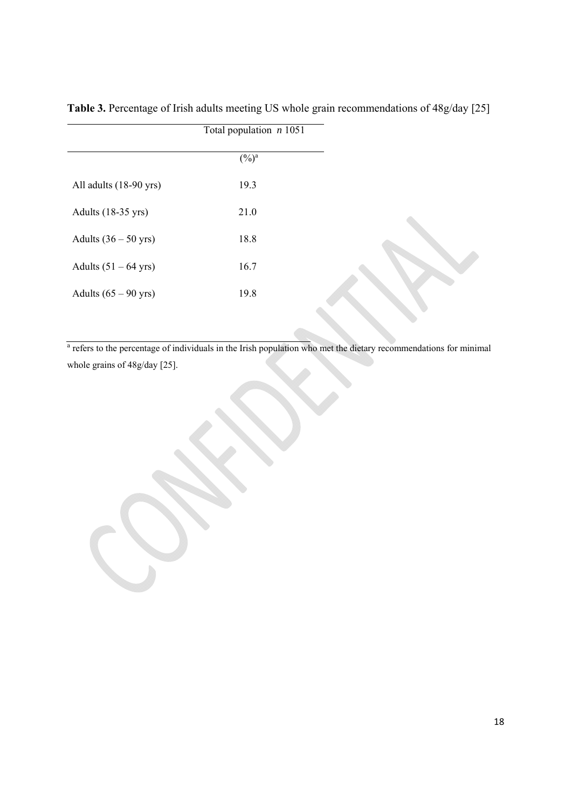| Total population $n$ 1051 |  |
|---------------------------|--|
| $(\frac{0}{0})^a$         |  |
| 19.3                      |  |
| 21.0                      |  |
| 18.8                      |  |
| 16.7                      |  |
| 19.8                      |  |
|                           |  |

**Table 3.** Percentage of Irish adults meeting US whole grain recommendations of 48g/day [25]

<sup>a</sup> refers to the percentage of individuals in the Irish population who met the dietary recommendations for minimal whole grains of 48g/day [25].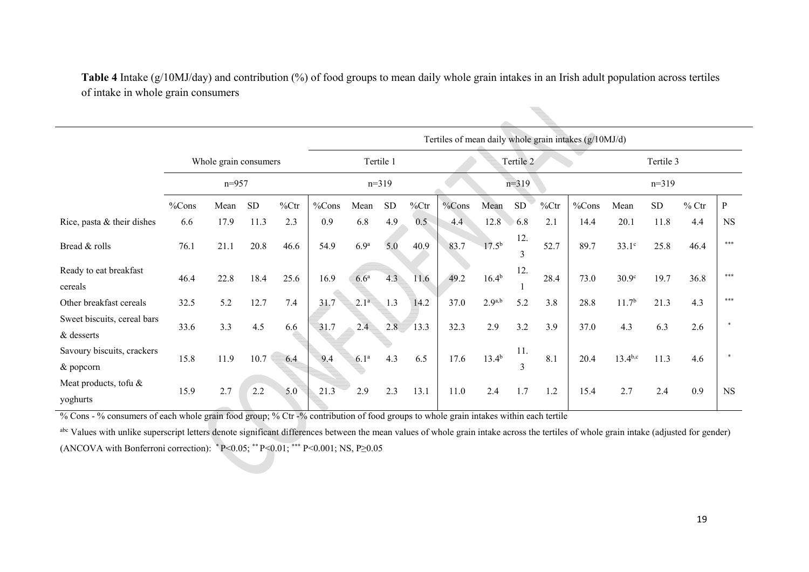|                                           |                       |      |           |         | Tertiles of mean daily whole grain intakes (g/10MJ/d) |                      |           |          |       |             |                     |         |       |                   |           |         |           |  |
|-------------------------------------------|-----------------------|------|-----------|---------|-------------------------------------------------------|----------------------|-----------|----------|-------|-------------|---------------------|---------|-------|-------------------|-----------|---------|-----------|--|
|                                           | Whole grain consumers |      |           |         |                                                       | Tertile 1            |           |          |       | Tertile 2   |                     |         |       |                   | Tertile 3 |         |           |  |
|                                           | $n = 957$             |      |           | $n=319$ |                                                       |                      | $n=319$   |          |       |             |                     | $n=319$ |       |                   |           |         |           |  |
|                                           | %Cons                 | Mean | <b>SD</b> | %Ctr    | %Cons                                                 | Mean                 | <b>SD</b> | $\%$ Ctr | %Cons | Mean        | <b>SD</b>           | %Ctr    | %Cons | Mean              | SD        | $%$ Ctr | P         |  |
| Rice, pasta & their dishes                | 6.6                   | 17.9 | 11.3      | 2.3     | 0.9                                                   | 6.8                  | 4.9       | 0.5      | 4.4   | 12.8        | 6.8                 | 2.1     | 14.4  | 20.1              | 11.8      | 4.4     | <b>NS</b> |  |
| Bread & rolls                             | 76.1                  | 21.1 | 20.8      | 46.6    | 54.9                                                  | 6.9 <sup>a</sup>     | 5.0       | 40.9     | 83.7  | $17.5^{b}$  | 12.<br>3            | 52.7    | 89.7  | $33.1^\circ$      | 25.8      | 46.4    | ***       |  |
| Ready to eat breakfast<br>cereals         | 46.4                  | 22.8 | 18.4      | 25.6    | 16.9                                                  | 6.6 <sup>a</sup>     | 4.3       | 11.6     | 49.2  | $16.4^{b}$  | 12.                 | 28.4    | 73.0  | 30.9 <sup>c</sup> | 19.7      | 36.8    | ***       |  |
| Other breakfast cereals                   | 32.5                  | 5.2  | 12.7      | 7.4     | 31.7                                                  | $2.1^{\overline{a}}$ | 1.3       | 14.2     | 37.0  | $2.9^{a,b}$ | 5.2                 | 3.8     | 28.8  | $11.7^{b}$        | 21.3      | 4.3     | ***       |  |
| Sweet biscuits, cereal bars<br>& desserts | 33.6                  | 3.3  | 4.5       | 6.6     | 31.7                                                  | 2.4                  | 2.8       | 13.3     | 32.3  | 2.9         | 3.2                 | 3.9     | 37.0  | 4.3               | 6.3       | 2.6     |           |  |
| Savoury biscuits, crackers<br>& popcorn   | 15.8                  | 11.9 | 10.7      | 6.4     | 9.4                                                   | 6.1 <sup>a</sup>     | 4.3       | 6.5      | 17.6  | $13.4^{b}$  | 11.<br>$\mathbf{3}$ | 8.1     | 20.4  | $13.4^{b,c}$      | 11.3      | 4.6     | $\star$   |  |
| Meat products, tofu &<br>yoghurts         | 15.9                  | 2.7  | 2.2       | 5.0     | 21.3                                                  | 2.9                  | 2.3       | 13.1     | 11.0  | 2.4         | 1.7                 | 1.2     | 15.4  | 2.7               | 2.4       | 0.9     | <b>NS</b> |  |

**Table 4** Intake (g/10MJ/day) and contribution (%) of food groups to mean daily whole grain intakes in an Irish adult population across tertiles of intake in whole grain consumers

% Cons - % consumers of each whole grain food group; % Ctr -% contribution of food groups to whole grain intakes within each tertile

abc Values with unlike superscript letters denote significant differences between the mean values of whole grain intake across the tertiles of whole grain intake (adjusted for gender) (ANCOVA with Bonferroni correction):  $P < 0.05$ ; \*\* P $< 0.01$ ; \*\*\* P $< 0.001$ ; NS, P $\geq 0.05$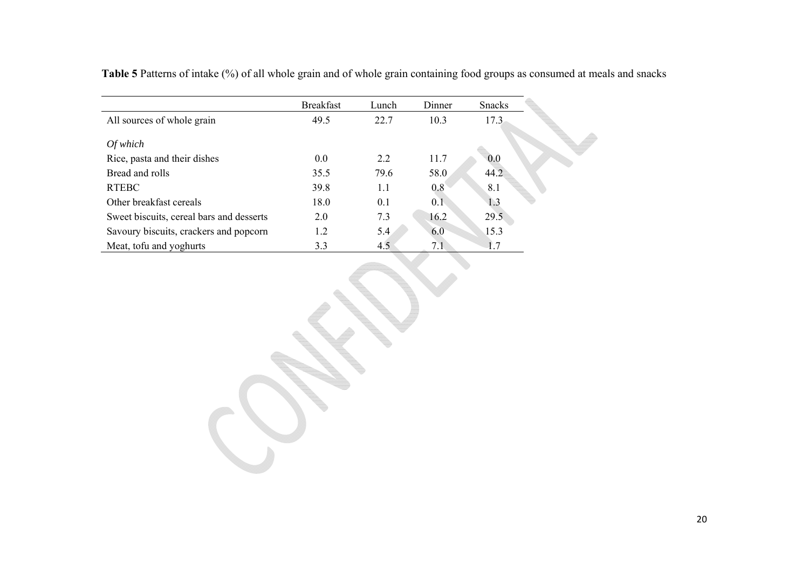**Table 5** Patterns of intake (%) of all whole grain and of whole grain containing food groups as consumed at meals and snacks

|                                          | <b>Breakfast</b> | Lunch | Dinner | <b>Snacks</b> |
|------------------------------------------|------------------|-------|--------|---------------|
| All sources of whole grain               | 49.5             | 22.7  | 10.3   | 17.3          |
| Of which                                 |                  |       |        |               |
| Rice, pasta and their dishes             | 0.0              | 2.2   | 11.7   | 0.0           |
| Bread and rolls                          | 35.5             | 79.6  | 58.0   | 44.2          |
| <b>RTEBC</b>                             | 39.8             | 1.1   | 0.8    | 8.1           |
| Other breakfast cereals                  | 18.0             | 0.1   | 0.1    | 1.3           |
| Sweet biscuits, cereal bars and desserts | 2.0              | 7.3   | 16.2   | 29.5          |
| Savoury biscuits, crackers and popcorn   | 1.2              | 5.4   | 6.0    | 15.3          |
| Meat, tofu and yoghurts                  | 3.3              | 4.5   | 7.1    | 1.7           |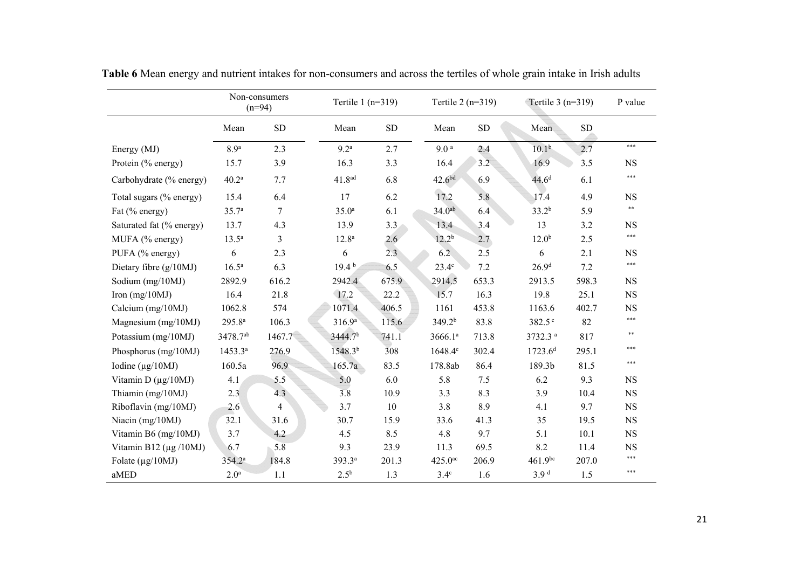|                              | Non-consumers<br>$(n=94)$ |                | Tertile $1(n=319)$  |           | Tertile $2(n=319)$    |            |                     | Tertile $3(n=319)$ |            |  |
|------------------------------|---------------------------|----------------|---------------------|-----------|-----------------------|------------|---------------------|--------------------|------------|--|
|                              | Mean                      | ${\rm SD}$     | Mean                | <b>SD</b> | Mean                  | ${\rm SD}$ | Mean                | SD                 |            |  |
| Energy (MJ)                  | 8.9 <sup>a</sup>          | 2.3            | 9.2 <sup>a</sup>    | 2.7       | 9.0 <sup>a</sup>      | 2.4        | $10.1^{b}$          | 2.7                | $***$      |  |
| Protein (% energy)           | 15.7                      | 3.9            | 16.3                | 3.3       | 16.4                  | 3.2        | 16.9                | 3.5                | <b>NS</b>  |  |
| Carbohydrate (% energy)      | 40.2 <sup>a</sup>         | 7.7            | 41.8 <sup>ad</sup>  | 6.8       | 42.6 <sup>bd</sup>    | 6.9        | 44.6 <sup>d</sup>   | 6.1                | ***        |  |
| Total sugars (% energy)      | 15.4                      | 6.4            | 17                  | 6.2       | 17.2                  | 5.8        | 17.4                | 4.9                | <b>NS</b>  |  |
| Fat (% energy)               | 35.7 <sup>a</sup>         | $\tau$         | 35.0 <sup>a</sup>   | 6.1       | 34.0 <sup>ab</sup>    | 6.4        | $33.2^{b}$          | 5.9                | $\ast\ast$ |  |
| Saturated fat (% energy)     | 13.7                      | 4.3            | 13.9                | 3.3       | 13.4                  | 3.4        | 13                  | 3.2                | <b>NS</b>  |  |
| MUFA (% energy)              | $13.5^{\rm a}$            | $\mathfrak{Z}$ | 12.8 <sup>a</sup>   | 2.6       | $12.2^{b}$            | 2.7        | 12.0 <sup>b</sup>   | 2.5                | ***        |  |
| PUFA (% energy)              | 6                         | 2.3            | 6                   | 2.3       | 6.2                   | 2.5        | 6                   | 2.1                | <b>NS</b>  |  |
| Dietary fibre $(g/10MJ)$     | $16.5^{\rm a}$            | 6.3            | 19.4 <sup>b</sup>   | 6.5       | $23.4^\circ$          | 7.2        | 26.9 <sup>d</sup>   | 7.2                | ***        |  |
| Sodium (mg/10MJ)             | 2892.9                    | 616.2          | 2942.4              | 675.9     | 2914.5                | 653.3      | 2913.5              | 598.3              | <b>NS</b>  |  |
| Iron $(mg/10MJ)$             | 16.4                      | 21.8           | 17.2                | 22.2      | 15.7                  | 16.3       | 19.8                | 25.1               | <b>NS</b>  |  |
| Calcium (mg/10MJ)            | 1062.8                    | 574            | 1071.4              | 406.5     | 1161                  | 453.8      | 1163.6              | 402.7              | <b>NS</b>  |  |
| Magnesium $(mg/10MJ)$        | 295.8 <sup>a</sup>        | 106.3          | 316.9 <sup>a</sup>  | 115.6     | 349.2 <sup>b</sup>    | 83.8       | 382.5 <sup>c</sup>  | 82                 | ***        |  |
| Potassium (mg/10MJ)          | 3478.7ab                  | 1467.7         | 3444.7 <sup>b</sup> | 741.1     | 3666.1a               | 713.8      | 3732.3 <sup>a</sup> | 817                | $***$      |  |
| Phosphorus (mg/10MJ)         | $1453.3^{a}$              | 276.9          | 1548.3 <sup>b</sup> | 308       | $1648.4^{\circ}$      | 302.4      | $1723.6^{d}$        | 295.1              | $***$      |  |
| Iodine ( $\mu$ g/10MJ)       | 160.5a                    | 96.9           | 165.7a              | 83.5      | 178.8ab               | 86.4       | 189.3b              | 81.5               | $***$      |  |
| Vitamin D $(\mu g/10MJ)$     | 4.1                       | 5.5            | 5.0                 | 6.0       | 5.8                   | 7.5        | 6.2                 | 9.3                | <b>NS</b>  |  |
| Thiamin (mg/10MJ)            | 2.3                       | 4.3            | 3.8                 | 10.9      | 3.3                   | 8.3        | 3.9                 | 10.4               | <b>NS</b>  |  |
| Riboflavin (mg/10MJ)         | 2.6                       | $\overline{4}$ | 3.7                 | 10        | 3.8                   | 8.9        | 4.1                 | 9.7                | <b>NS</b>  |  |
| Niacin (mg/10MJ)             | 32.1                      | 31.6           | 30.7                | 15.9      | 33.6                  | 41.3       | 35                  | 19.5               | <b>NS</b>  |  |
| Vitamin B6 (mg/10MJ)         | 3.7                       | 4.2            | 4.5                 | 8.5       | 4.8                   | 9.7        | 5.1                 | 10.1               | <b>NS</b>  |  |
| Vitamin B12 ( $\mu$ g /10MJ) | 6.7                       | 5.8            | 9.3                 | 23.9      | 11.3                  | 69.5       | 8.2                 | 11.4               | <b>NS</b>  |  |
| Folate $(\mu g/10MJ)$        | $354.2^{a}$               | 184.8          | 393.3ª              | 201.3     | $425.0$ <sup>ac</sup> | 206.9      | $461.9^{bc}$        | 207.0              | ***        |  |
| aMED                         | 2.0 <sup>a</sup>          | 1.1            | $2.5^{b}$           | 1.3       | $3.4^\circ$           | 1.6        | 3.9 <sup>d</sup>    | 1.5                | ***        |  |

**Table 6** Mean energy and nutrient intakes for non-consumers and across the tertiles of whole grain intake in Irish adults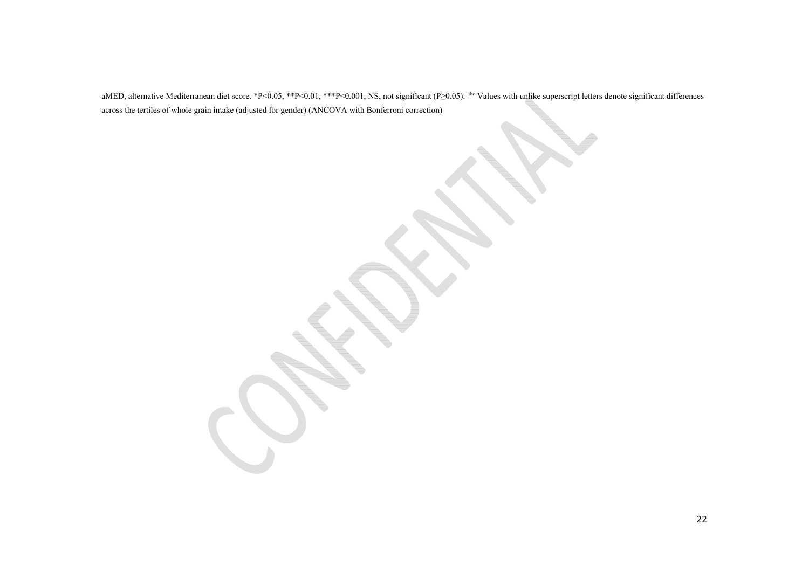aMED, alternative Mediterranean diet score. \*P<0.05, \*\*P<0.01, \*\*\*P<0.001, NS, not significant (P≥0.05). <sup>abc</sup> Values with unlike superscript letters denote significant differences across the tertiles of whole grain intake (adjusted for gender) (ANCOVA with Bonferroni correction)